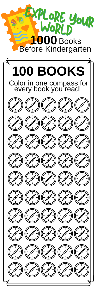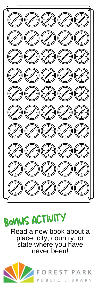



Read a new book about a place, city, country, or state where you have never been!

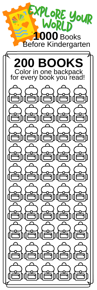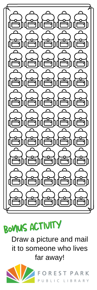

BOVIUS ACTIVITY

Draw a picture and mail it to someone who lives far away!

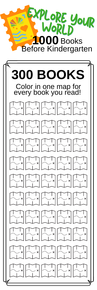

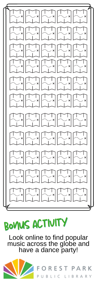

# BOVUS ACTIVITY

Look online to find popular music across the globe and have a dance party!

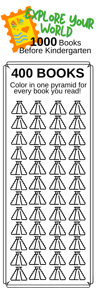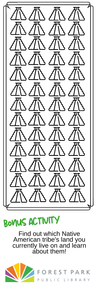

BOVIUS ACTIVITY

Find out which Native American tribe's land you currently live on and learn about them!

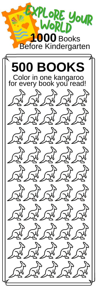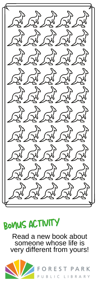

#### BOVUS ACTIVITY

Read a new book about someone whose life is very different from yours!

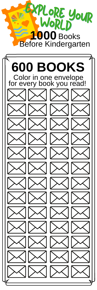

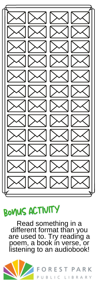

### bonus activity bonus activity

Read something in a different format than you are used to. Try reading a poem, a book in verse, or listening to an audiobook!



OREST PARK PUBLIC LIBRARY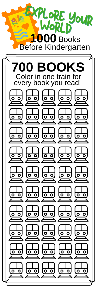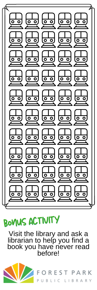

# bonus activity bonusactivity

Visit the library and ask a librarian to help you find a book you have never read before!

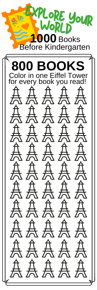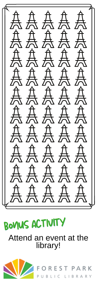点点点点点 人人人人人 点点点点点 总点点点点 人人人人人 人人人人人 点点点点点 点点点点点 人人人人人 点点点点点



#### Attend an event at the library!

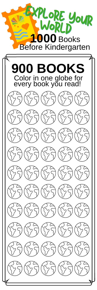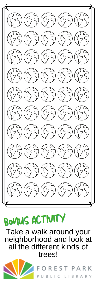

## BOVUS ACTIVITY

Take a walk around your neighborhood and look at all the different kinds of trees!



A R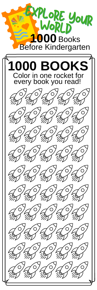